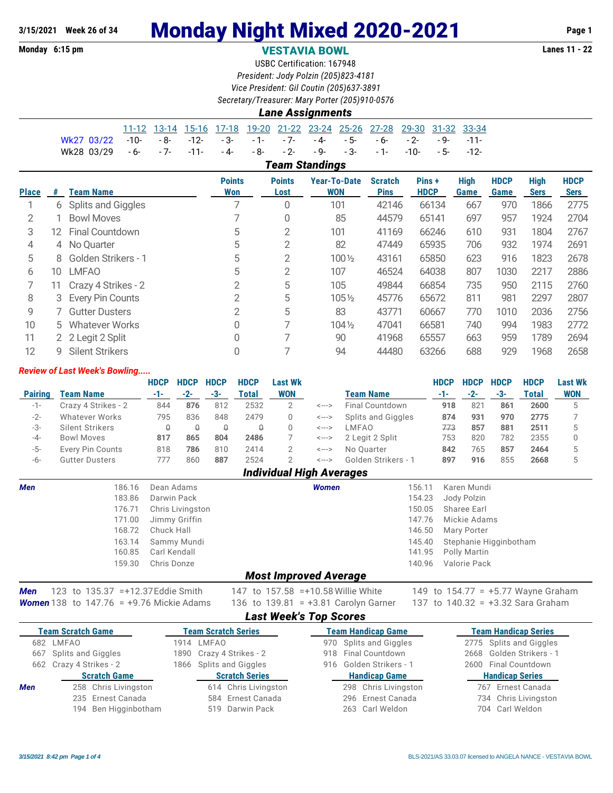## **Monday 6:15 pm VESTAVIA BOWL Lanes 11 - 22**

USBC Certification: 167948 *President: Jody Polzin (205)823-4181 Vice President: Gil Coutin (205)637-3891*

*Secretary/Treasurer: Mary Porter (205)910-0576*

|  | <b>Lane Assignments</b> |
|--|-------------------------|

|                                                                           |  |  |  |  |  | 11-12 13-14 15-16 17-18 19-20 21-22 23-24 25-26 27-28 29-30 31-32 33-34 |  |
|---------------------------------------------------------------------------|--|--|--|--|--|-------------------------------------------------------------------------|--|
| Wk27 03/22 -10- -8- -12- -3- -1- -7- -4- -5- -6- -2- -9- -11-             |  |  |  |  |  |                                                                         |  |
| Wk28 03/29 - 6- - 7- - 11- - 4- - 8- - 2- - 9- - 3- - 1- - 10- - 5- - 12- |  |  |  |  |  |                                                                         |  |

*Team Standings*

| <b>Place</b> | #   | <b>Team Name</b>       | <b>Points</b><br>Won | <b>Points</b><br>Lost | <b>Year-To-Date</b><br><b>WON</b> | <b>Scratch</b><br><b>Pins</b> | Pins +<br><b>HDCP</b> | <b>High</b><br>Game | <b>HDCP</b><br>Game | High<br><b>Sers</b> | <b>HDCP</b><br><b>Sers</b> |
|--------------|-----|------------------------|----------------------|-----------------------|-----------------------------------|-------------------------------|-----------------------|---------------------|---------------------|---------------------|----------------------------|
|              | 6   | Splits and Giggles     | ⇁                    | 0                     | 101                               | 42146                         | 66134                 | 667                 | 970                 | 1866                | 2775                       |
| 2            |     | <b>Bowl Moves</b>      |                      | 0                     | 85                                | 44579                         | 65141                 | 697                 | 957                 | 1924                | 2704                       |
| 3            | 12. | <b>Final Countdown</b> | 5                    | 2                     | 101                               | 41169                         | 66246                 | 610                 | 931                 | 1804                | 2767                       |
| 4            | 4   | No Ouarter             | 5                    | 2                     | 82                                | 47449                         | 65935                 | 706                 | 932                 | 1974                | 2691                       |
| 5            | 8   | Golden Strikers - 1    | 5                    | 2                     | 100 1/2                           | 43161                         | 65850                 | 623                 | 916                 | 1823                | 2678                       |
| 6            | 10  | <b>LMFAO</b>           | 5                    | 2                     | 107                               | 46524                         | 64038                 | 807                 | 1030                | 2217                | 2886                       |
|              |     | Crazy 4 Strikes - 2    | $\overline{2}$       | 5                     | 105                               | 49844                         | 66854                 | 735                 | 950                 | 2115                | 2760                       |
| 8            | 3   | Every Pin Counts       | 2                    | 5                     | $105\%$                           | 45776                         | 65672                 | 811                 | 981                 | 2297                | 2807                       |
| 9            |     | <b>Gutter Dusters</b>  | 2                    | 5                     | 83                                | 43771                         | 60667                 | 770                 | 1010                | 2036                | 2756                       |
| 10           | 5.  | <b>Whatever Works</b>  | 0                    | $\overline{7}$        | $104\frac{1}{2}$                  | 47041                         | 66581                 | 740                 | 994                 | 1983                | 2772                       |
| 11           |     | 2 2 Legit 2 Split      | 0                    |                       | 90                                | 41968                         | 65557                 | 663                 | 959                 | 1789                | 2694                       |
| 12           | g   | <b>Silent Strikers</b> | 0                    |                       | 94                                | 44480                         | 63266                 | 688                 | 929                 | 1968                | 2658                       |

### *Review of Last Week's Bowling.....*

|                |                       | <b>HDCP</b> | <b>HDCP</b> | <b>HDCP</b> | <b>HDCP</b>  | Last Wk    |       |                           | <b>HDCP</b> | <b>HDCP</b> | <b>HDCP</b> | <b>HDCP</b>  | <b>Last Wk</b> |
|----------------|-----------------------|-------------|-------------|-------------|--------------|------------|-------|---------------------------|-------------|-------------|-------------|--------------|----------------|
| <b>Pairing</b> | <b>Team Name</b>      | -1-         | $-2-$       | -3-         | <b>Total</b> | <b>WON</b> |       | <b>Team Name</b>          | -1-         | $-2-$       | -3-         | <b>Total</b> | <b>WON</b>     |
| $-1-$          | Crazy 4 Strikes - 2   | 844         | 876         | 812         | 2532         |            | <---> | Final Countdown           | 918         | 821         | 861         | 2600         |                |
| $-2-$          | Whatever Works        | 795         | 836         | 848         | 2479         |            | <---> | <b>Splits and Giggles</b> | 874         | 931         | 970         | 2775         |                |
| -3-            | Silent Strikers       |             |             | Q           |              |            | <---> | LMFAO                     | 773         | 857         | 881         | 2511         |                |
| $-4-$          | <b>Bowl Moves</b>     | 817         | 865         | 804         | 2486         |            | <---> | 2 Legit 2 Split           | 753         | 820         | 782         | 2355         |                |
| $-5-$          | Every Pin Counts      | 818         | 786         | 810         | 2414         |            | <---> | No Ouarter                | 842         | 765         | 857         | 2464         |                |
| -6-            | <b>Gutter Dusters</b> |             | 860         | 887         | 2524         |            | <---> | Golden Strikers - 1       | 897         | 916         | 855         | 2668         |                |
|                |                       |             |             |             | - - - - -    |            | .     |                           |             |             |             |              |                |

### *Individual High Averages*

| <b>Men</b> | 186.16<br>183.86 | Dean Adams<br>Darwin Pack | Women | 156.11 | Karen Mundi<br>154.23 Jody Polzin |
|------------|------------------|---------------------------|-------|--------|-----------------------------------|
|            | 176.71           | Chris Livingston          |       |        | 150.05 Sharee Earl                |
|            |                  | 171.00 Jimmy Griffin      |       |        | 147.76 Mickie Adams               |
|            | 168.72           | Chuck Hall                |       |        | 146.50 Mary Porter                |
|            | 163.14           | Sammy Mundi               |       |        | 145.40 Stephanie Higginbotham     |
|            | 160.85           | Carl Kendall              |       |        | 141.95 Polly Martin               |
|            | 159.30           | Chris Donze               |       |        | 140.96 Valorie Pack               |
|            |                  | -- -                      | . .   |        |                                   |

## *Most Improved Average*

*Women* 138 to 147.76 = +9.76 Mickie Adams 136 to 139.81 = +3.81 Carolyn Garner 137 to 140.32 = +3.32 Sara Graham

*Men* 123 to 135.37 =+12.37 Eddie Smith 147 to 157.58 =+10.58 Willie White 149 to 154.77 = +5.77 Wayne Graham

## *Last Week's Top Scores*

|     | <b>Team Scratch Game</b> |      | <b>Team Scratch Series</b> | <b>Team Handicap Game</b> | <b>Team Handicap Series</b> |
|-----|--------------------------|------|----------------------------|---------------------------|-----------------------------|
|     | 682 LMFAO                | 1914 | LMFAO                      | 970 Splits and Giggles    | 2775 Splits and Giggles     |
| 667 | Splits and Giggles       |      | 1890 Crazy 4 Strikes - 2   | 918 Final Countdown       | 2668 Golden Strikers - 1    |
|     | 662 Crazy 4 Strikes - 2  |      | 1866 Splits and Giggles    | 916 Golden Strikers - 1   | 2600 Final Countdown        |
|     | <b>Scratch Game</b>      |      | <b>Scratch Series</b>      | <b>Handicap Game</b>      | <b>Handicap Series</b>      |
| Men | 258 Chris Livingston     |      | 614 Chris Livingston       | 298 Chris Livingston      | 767 Ernest Canada           |
|     | 235 Ernest Canada        |      | 584 Ernest Canada          | 296 Ernest Canada         | 734 Chris Livingston        |
|     | 194 Ben Higginbotham     |      | 519 Darwin Pack            | 263 Carl Weldon           | 704 Carl Weldon             |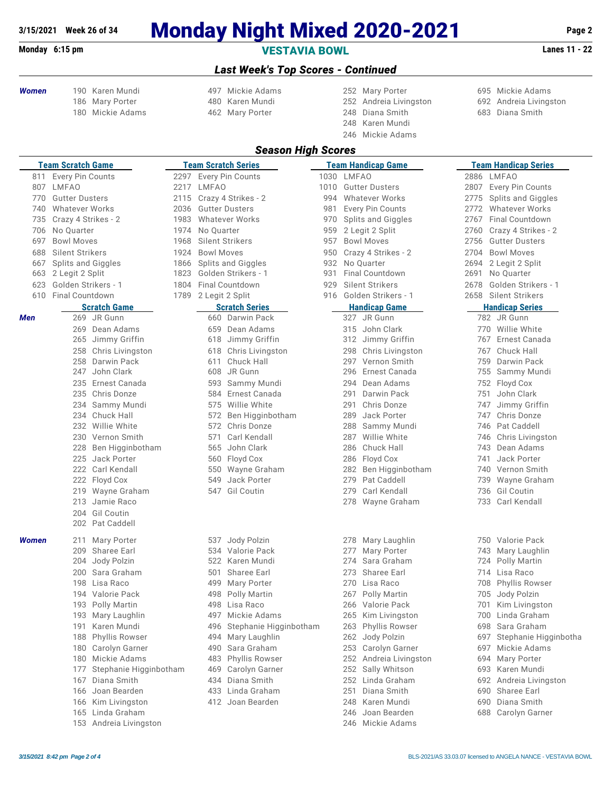## **3/15/2021 Week 26 of 34 Monday Night Mixed 2020-2021 Page 2**

## **Monday 6:15 pm VESTAVIA BOWL Lanes 11 - 22**

## *Last Week's Top Scores - Continued*

*Season High Scores*

- -
- 
- *Women* 190 Karen Mundi 497 Mickie Adams 252 Mary Porter 695 Mickie Adams Mary Porter 480 Karen Mundi 252 Andreia Livingston 692 Andreia Livingston Mickie Adams 462 Mary Porter 248 Diana Smith 683 Diana Smith

 Karen Mundi Mickie Adams

- 
- 
- 

|       | <b>Team Scratch Game</b>                     |      |                   | <b>Team Scratch Series</b>              |            |            | <b>Team Handicap Game</b>             | <b>Team Handicap Series</b> |                                       |  |  |  |
|-------|----------------------------------------------|------|-------------------|-----------------------------------------|------------|------------|---------------------------------------|-----------------------------|---------------------------------------|--|--|--|
|       | 811 Every Pin Counts                         |      |                   | 2297 Every Pin Counts                   | 1030 LMFAO |            |                                       |                             | 2886 LMFAO                            |  |  |  |
| 807   | LMFAO                                        |      | 2217 LMFAO        |                                         | 1010       |            | <b>Gutter Dusters</b>                 |                             | 2807 Every Pin Counts                 |  |  |  |
| 770   | <b>Gutter Dusters</b>                        | 2115 |                   | Crazy 4 Strikes - 2                     | 994        |            | <b>Whatever Works</b>                 | 2775                        | Splits and Giggles                    |  |  |  |
| 740   | <b>Whatever Works</b>                        | 2036 |                   | <b>Gutter Dusters</b>                   | 981        |            | Every Pin Counts                      |                             | 2772 Whatever Works                   |  |  |  |
| 735   | Crazy 4 Strikes - 2                          | 1983 |                   | <b>Whatever Works</b>                   |            |            | 970 Splits and Giggles                | 2767                        | <b>Final Countdown</b>                |  |  |  |
| 706   | No Quarter                                   | 1974 | No Quarter        |                                         | 959        |            | 2 Legit 2 Split                       | 2760                        | Crazy 4 Strikes - 2                   |  |  |  |
| 697   | <b>Bowl Moves</b>                            | 1968 |                   | Silent Strikers                         | 957        |            | <b>Bowl Moves</b>                     | 2756                        | <b>Gutter Dusters</b>                 |  |  |  |
| 688   | Silent Strikers                              | 1924 | <b>Bowl Moves</b> |                                         | 950        |            | Crazy 4 Strikes - 2                   | 2704                        | <b>Bowl Moves</b>                     |  |  |  |
| 667   | Splits and Giggles                           | 1866 |                   | Splits and Giggles                      | 932        |            | No Quarter                            | 2694                        | 2 Legit 2 Split                       |  |  |  |
| 663   | 2 Legit 2 Split                              | 1823 |                   | Golden Strikers - 1                     | 931        |            | Final Countdown                       | 2691                        | No Quarter                            |  |  |  |
| 623   | Golden Strikers - 1                          | 1804 |                   | <b>Final Countdown</b>                  | 929        |            | Silent Strikers                       | 2678                        | Golden Strikers - 1                   |  |  |  |
| 610   | <b>Final Countdown</b>                       | 1789 | 2 Legit 2 Split   |                                         | 916        |            | Golden Strikers - 1                   |                             | 2658 Silent Strikers                  |  |  |  |
|       | <b>Scratch Game</b>                          |      |                   | <b>Scratch Series</b>                   |            |            | <b>Handicap Game</b>                  |                             | <b>Handicap Series</b>                |  |  |  |
| Men   | 269 JR Gunn                                  |      |                   | 660 Darwin Pack                         |            |            | 327 JR Gunn                           |                             | 782 JR Gunn                           |  |  |  |
|       | 269 Dean Adams                               |      | 659               | Dean Adams                              |            |            | 315 John Clark                        |                             | 770 Willie White                      |  |  |  |
|       | 265 Jimmy Griffin                            |      | 618               | Jimmy Griffin                           |            |            | 312 Jimmy Griffin                     |                             | 767 Ernest Canada                     |  |  |  |
|       | 258 Chris Livingston                         |      | 618               | Chris Livingston                        |            |            | 298 Chris Livingston                  |                             | 767 Chuck Hall                        |  |  |  |
|       | 258<br>Darwin Pack                           |      | 611               | Chuck Hall                              |            |            | 297 Vernon Smith                      | 759                         | Darwin Pack                           |  |  |  |
|       | John Clark<br>247                            |      | 608               | JR Gunn                                 |            | 296        | Ernest Canada                         |                             | 755 Sammy Mundi                       |  |  |  |
|       | 235 Ernest Canada                            |      | 593               | Sammy Mundi                             |            |            | 294 Dean Adams                        |                             | 752 Floyd Cox                         |  |  |  |
|       | 235 Chris Donze                              |      | 584               | Ernest Canada                           |            | 291        | Darwin Pack                           | 751                         | John Clark                            |  |  |  |
|       | 234 Sammy Mundi                              |      | 575               | Willie White                            |            | 291        | Chris Donze                           |                             | 747 Jimmy Griffin                     |  |  |  |
|       | 234 Chuck Hall                               |      | 572               | Ben Higginbotham                        |            | 289        | Jack Porter                           |                             | 747 Chris Donze                       |  |  |  |
|       | 232 Willie White                             |      |                   | 572 Chris Donze                         |            | 288        | Sammy Mundi                           |                             | 746 Pat Caddell                       |  |  |  |
|       | 230 Vernon Smith                             |      | 571               | Carl Kendall                            |            | 287        | Willie White                          |                             | 746 Chris Livingston                  |  |  |  |
|       | 228 Ben Higginbotham                         |      | 565               | John Clark                              |            | 286        | Chuck Hall                            |                             | 743 Dean Adams                        |  |  |  |
|       | 225 Jack Porter                              |      | 560               | Floyd Cox                               |            |            | 286 Floyd Cox                         | 741                         | Jack Porter                           |  |  |  |
|       | 222 Carl Kendall                             |      | 550               | Wayne Graham                            |            |            | 282 Ben Higginbotham                  |                             | 740 Vernon Smith                      |  |  |  |
|       | 222 Floyd Cox                                |      | 549               | Jack Porter                             |            | 279        | Pat Caddell                           |                             | 739 Wayne Graham                      |  |  |  |
|       | 219 Wayne Graham                             |      | 547               | <b>Gil Coutin</b>                       |            | 279        | Carl Kendall                          |                             | 736 Gil Coutin                        |  |  |  |
|       | Jamie Raco<br>213                            |      |                   |                                         |            |            | 278 Wayne Graham                      |                             | 733 Carl Kendall                      |  |  |  |
|       | 204 Gil Coutin                               |      |                   |                                         |            |            |                                       |                             |                                       |  |  |  |
|       | 202 Pat Caddell                              |      |                   |                                         |            |            |                                       |                             |                                       |  |  |  |
|       |                                              |      |                   |                                         |            |            |                                       |                             |                                       |  |  |  |
| Women | Mary Porter<br>211                           |      |                   | 537 Jody Polzin                         |            |            | 278 Mary Laughlin<br>Mary Porter      |                             | 750 Valorie Pack                      |  |  |  |
|       | 209<br>Sharee Earl<br>Jody Polzin<br>204     |      |                   | 534 Valorie Pack<br>522 Karen Mundi     |            | 277<br>274 | Sara Graham                           |                             | 743 Mary Laughlin<br>724 Polly Martin |  |  |  |
|       | Sara Graham<br>200                           |      |                   | Sharee Earl                             |            | 273        | Sharee Earl                           |                             | 714 Lisa Raco                         |  |  |  |
|       | 198 Lisa Raco                                |      | 501<br>499        |                                         |            |            | 270 Lisa Raco                         |                             |                                       |  |  |  |
|       |                                              |      |                   | Mary Porter                             |            |            | 267 Polly Martin                      |                             | 708 Phyllis Rowser                    |  |  |  |
|       | 194 Valorie Pack<br>193 Polly Martin         |      | 498               | Polly Martin<br>498 Lisa Raco           |            |            | 266 Valorie Pack                      |                             | 705 Jody Polzin<br>701 Kim Livingston |  |  |  |
|       | 193 Mary Laughlin                            |      | 497               | Mickie Adams                            |            |            | 265 Kim Livingston                    |                             | 700 Linda Graham                      |  |  |  |
|       | Karen Mundi<br>191                           |      | 496               |                                         |            | 263        | <b>Phyllis Rowser</b>                 | 698                         | Sara Graham                           |  |  |  |
|       | 188<br><b>Phyllis Rowser</b>                 |      |                   | Stephanie Higginbotham<br>Mary Laughlin |            |            | 262 Jody Polzin                       | 697                         | Stephanie Higginbotha                 |  |  |  |
|       |                                              |      | 494<br>490        | Sara Graham                             |            |            |                                       |                             | 697 Mickie Adams                      |  |  |  |
|       | Carolyn Garner<br>180<br>180 Mickie Adams    |      |                   |                                         |            |            | 253 Carolyn Garner                    |                             | 694 Mary Porter                       |  |  |  |
|       | 177                                          |      | 483<br>469        | Phyllis Rowser<br>Carolyn Garner        |            |            | 252 Andreia Livingston                |                             | 693 Karen Mundi                       |  |  |  |
|       | Stephanie Higginbotham<br>Diana Smith<br>167 |      | 434               | Diana Smith                             |            |            | 252 Sally Whitson<br>252 Linda Graham |                             | 692 Andreia Livingston                |  |  |  |
|       | 166 Joan Bearden                             |      | 433               | Linda Graham                            |            | 251        | Diana Smith                           |                             | 690 Sharee Earl                       |  |  |  |
|       |                                              |      |                   | 412 Joan Bearden                        |            |            | 248 Karen Mundi                       |                             | 690 Diana Smith                       |  |  |  |
|       | 166 Kim Livingston<br>165 Linda Graham       |      |                   |                                         |            |            | 246 Joan Bearden                      |                             | 688 Carolyn Garner                    |  |  |  |
|       |                                              |      |                   |                                         |            |            |                                       |                             |                                       |  |  |  |

| usters           | 2807 Every Pin Counts    |
|------------------|--------------------------|
| er Works         | 2775 Splits and Giggles  |
| า Counts         | 2772 Whatever Works      |
| d Giggles        | 2767 Final Countdown     |
| Split            | 2760 Crazy 4 Strikes - 2 |
| ves              | 2756 Gutter Dusters      |
| Strikes - 2      | 2704 Bowl Moves          |
| ter              | 2694 2 Legit 2 Split     |
| untdown          | 2691 No Quarter          |
| trikers          | 2678 Golden Strikers - 1 |
| Strikers - 1     | 2658 Silent Strikers     |
| ap Game          | <b>Handicap Series</b>   |
| Gunn             | 782 JR Gunn              |
| <b>n</b> Clark   | 770 Willie White         |
| my Griffin       | 767 Ernest Canada        |
| is Livingston    | 767 Chuck Hall           |
| non Smith        | 759 Darwin Pack          |
| est Canada       | 755 Sammy Mundi          |
| an Adams         | 752 Floyd Cox            |
| win Pack         | 751 John Clark           |
| is Donze         | 747 Jimmy Griffin        |
| k Porter         | 747 Chris Donze          |
| nmy Mundi        | 746 Pat Caddell          |
| lie White        | 746 Chris Livingston     |
| <b>Jck Hall</b>  | 743 Dean Adams           |
| yd Cox           | 741 Jack Porter          |
| Higginbotham     | Vernon Smith<br>740      |
| Caddell          | 739 Wayne Graham         |
| I Kendall        | 736 Gil Coutin           |
| yne Graham       | Carl Kendall<br>733      |
|                  |                          |
|                  |                          |
|                  |                          |
| ry Laughlin      | 750 Valorie Pack         |
| ry Porter        | 743 Mary Laughlin        |
| a Graham         | 724 Polly Martin         |
| aree Earl        | 714 Lisa Raco            |
| a Raco           | 708 Phyllis Rowser       |
| ly Martin        | 705 Jody Polzin          |
| orie Pack        | 701 Kim Livingston       |
| Livingston       | 700 Linda Graham         |
| Ilis Rowser      | Sara Graham<br>698       |
| ly Polzin        | 697 Stephanie Higginb    |
| olyn Garner      | 697 Mickie Adams         |
| dreia Livingston | 694<br>Mary Porter       |

- 177 Iv Whitson **693 Karen Mundi**
- da Graham **167 Diana Smith 253 Diana Smith 252 Andreia Livingston**
- na Smith 690 Sharee Earl
- 166 Kim Livingston 412 House and Mundi 690 Diana Smith
- Linda Graham 246 Joan Bearden 688 Carolyn Garner

153 Andreia Livingston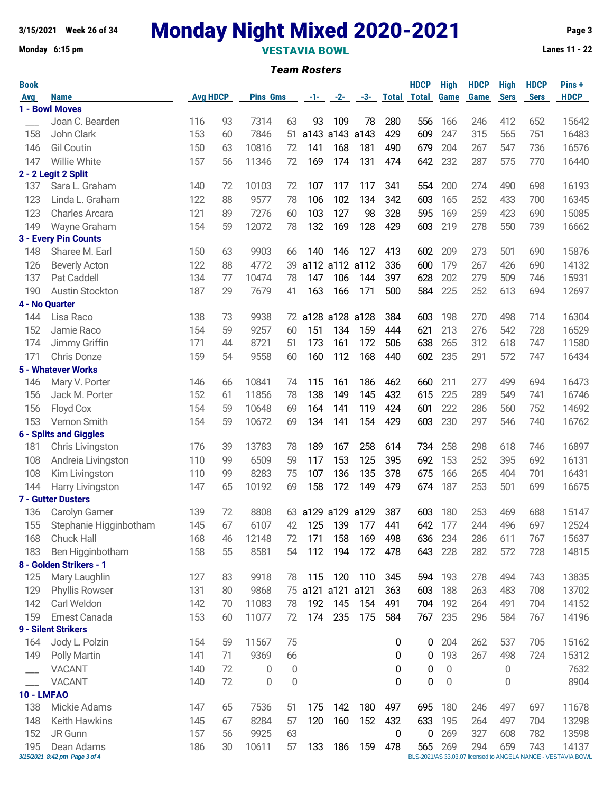# **3/15/2021 Week 26 of 34 Monday Night Mixed 2020-2021 Page 3**

## **Monday 6:15 pm VESTAVIA BOWL Lanes 11 - 22** *Team Rosters*

| Book              |                                             |                 |    |       |                          |                   |             |                |     | <b>HDCP</b>        | <b>High</b> | <b>HDCP</b> | <b>High</b> | <b>HDCP</b> | Pins+                                                                  |
|-------------------|---------------------------------------------|-----------------|----|-------|--------------------------|-------------------|-------------|----------------|-----|--------------------|-------------|-------------|-------------|-------------|------------------------------------------------------------------------|
| Avg               | <b>Name</b>                                 | <b>Avg HDCP</b> |    |       | <b>Pins Gms</b><br>-1- - |                   |             | $-2-$<br>$-3-$ |     | <b>Total Total</b> | <b>Game</b> | <b>Game</b> | <b>Sers</b> | <b>Sers</b> | <b>HDCP</b>                                                            |
|                   | 1 - Bowl Moves                              |                 |    |       |                          |                   |             |                |     |                    |             |             |             |             |                                                                        |
|                   | Joan C. Bearden                             | 116             | 93 | 7314  | 63                       | 93                | 109         | 78             | 280 | 556                | 166         | 246         | 412         | 652         | 15642                                                                  |
| 158               | John Clark                                  | 153             | 60 | 7846  | 51                       | a143              | a143 a143   |                | 429 | 609                | 247         | 315         | 565         | 751         | 16483                                                                  |
| 146               | <b>Gil Coutin</b>                           | 150             | 63 | 10816 | 72                       | 141               | 168         | 181            | 490 | 679                | 204         | 267         | 547         | 736         | 16576                                                                  |
| 147               | <b>Willie White</b>                         | 157             | 56 | 11346 | 72                       | 169               | 174         | 131            | 474 | 642                | 232         | 287         | 575         | 770         | 16440                                                                  |
|                   | 2 - 2 Legit 2 Split                         |                 |    |       |                          |                   |             |                |     |                    |             |             |             |             |                                                                        |
| 137               | Sara L. Graham                              | 140             | 72 | 10103 | 72                       | 107               | 117         | 117            | 341 | 554                | 200         | 274         | 490         | 698         | 16193                                                                  |
| 123               | Linda L. Graham                             | 122             | 88 | 9577  | 78                       | 106               | 102         | 134            | 342 | 603                | 165         | 252         | 433         | 700         | 16345                                                                  |
| 123               | <b>Charles Arcara</b>                       | 121             | 89 | 7276  | 60                       | 103               | 127         | 98             | 328 | 595                | 169         | 259         | 423         | 690         | 15085                                                                  |
| 149               | Wayne Graham                                | 154             | 59 | 12072 | 78                       | 132               | 169         | 128            | 429 | 603                | 219         | 278         | 550         | 739         | 16662                                                                  |
|                   | 3 - Every Pin Counts                        |                 |    |       |                          |                   |             |                |     |                    |             |             |             |             |                                                                        |
| 148               | Sharee M. Earl                              | 150             | 63 | 9903  | 66                       | 140               | 146         | 127            | 413 | 602                | 209         | 273         | 501         | 690         | 15876                                                                  |
| 126               | <b>Beverly Acton</b>                        | 122             | 88 | 4772  | 39                       |                   | a112 a112   | a112           | 336 | 600                | 179         | 267         | 426         | 690         | 14132                                                                  |
| 137               | Pat Caddell                                 | 134             | 77 | 10474 | 78                       | 147               | 106         | 144            | 397 | 628                | 202         | 279         | 509         | 746         | 15931                                                                  |
| 190               | Austin Stockton                             | 187             | 29 | 7679  | 41                       | 163               | 166         | 171            | 500 | 584                | 225         | 252         | 613         | 694         | 12697                                                                  |
| 144               | 4 - No Quarter<br>Lisa Raco                 | 138             | 73 | 9938  |                          | a128              | a128        | a128           | 384 | 603                | 198         | 270         | 498         | 714         | 16304                                                                  |
| 152               | Jamie Raco                                  | 154             | 59 | 9257  | 72<br>60                 | 151               | 134         | 159            | 444 | 621                | 213         | 276         | 542         | 728         | 16529                                                                  |
| 174               | Jimmy Griffin                               | 171             | 44 | 8721  | 51                       | 173               | 161         | 172            | 506 | 638                | 265         | 312         | 618         | 747         | 11580                                                                  |
| 171               | <b>Chris Donze</b>                          | 159             | 54 | 9558  | 60                       | 160               | 112         | 168            | 440 | 602                | 235         | 291         | 572         | 747         | 16434                                                                  |
|                   | <b>5 - Whatever Works</b>                   |                 |    |       |                          |                   |             |                |     |                    |             |             |             |             |                                                                        |
| 146               | Mary V. Porter                              | 146             | 66 | 10841 | 74                       | 115               | 161         | 186            | 462 | 660                | 211         | 277         | 499         | 694         | 16473                                                                  |
| 156               | Jack M. Porter                              | 152             | 61 | 11856 | 78                       | 138               | 149         | 145            | 432 | 615                | 225         | 289         | 549         | 741         | 16746                                                                  |
| 156               | Floyd Cox                                   | 154             | 59 | 10648 | 69                       | 164               | 141         | 119            | 424 | 601                | 222         | 286         | 560         | 752         | 14692                                                                  |
| 153               | Vernon Smith                                | 154             | 59 | 10672 | 69                       | 134               | 141         | 154            | 429 | 603                | 230         | 297         | 546         | 740         | 16762                                                                  |
|                   | <b>6 - Splits and Giggles</b>               |                 |    |       |                          |                   |             |                |     |                    |             |             |             |             |                                                                        |
| 181               | Chris Livingston                            | 176             | 39 | 13783 | 78                       | 189               | 167         | 258            | 614 | 734                | 258         | 298         | 618         | 746         | 16897                                                                  |
| 108               | Andreia Livingston                          | 110             | 99 | 6509  | 59                       | 117               | 153         | 125            | 395 | 692                | 153         | 252         | 395         | 692         | 16131                                                                  |
| 108               | Kim Livingston                              | 110             | 99 | 8283  | 75                       | 107               | 136         | 135            | 378 | 675                | 166         | 265         | 404         | 701         | 16431                                                                  |
| 144               | Harry Livingston                            | 147             | 65 | 10192 | 69                       | 158               | 172         | 149            | 479 | 674                | 187         | 253         | 501         | 699         | 16675                                                                  |
|                   | 7 - Gutter Dusters                          |                 |    |       |                          |                   |             |                |     |                    |             |             |             |             |                                                                        |
| 136               | Carolyn Garner                              | 139             | 72 | 8808  |                          | 63 a129 a129 a129 |             |                | 387 | 603                | 180         | 253         | 469         | 688         | 15147                                                                  |
| 155               | Stephanie Higginbotham                      | 145             | 67 | 6107  | 42                       |                   | 125 139 177 |                | 441 | 642                | 177         | 244         | 496         | 697         | 12524                                                                  |
| 168               | Chuck Hall                                  | 168             | 46 | 12148 | 72                       | 171               | 158         | 169            | 498 | 636                | 234         | 286         | 611         | 767         | 15637                                                                  |
| 183               | Ben Higginbotham                            | 158             | 55 | 8581  | 54                       | 112               | 194         | 172            | 478 | 643                | 228         | 282         | 572         | 728         | 14815                                                                  |
|                   | 8 - Golden Strikers - 1                     |                 |    |       |                          |                   |             |                |     |                    |             |             |             |             |                                                                        |
| 125               | Mary Laughlin                               | 127             | 83 | 9918  | 78                       | 115               | 120         | 110            | 345 | 594                | 193         | 278         | 494         | 743         | 13835                                                                  |
| 129               | Phyllis Rowser                              | 131             | 80 | 9868  |                          | 75 a121 a121 a121 |             |                | 363 | 603                | 188         | 263         | 483         | 708         | 13702                                                                  |
| 142               | Carl Weldon                                 | 142             | 70 | 11083 | 78                       | 192               | 145         | 154            | 491 | 704                | 192         | 264         | 491         | 704         | 14152                                                                  |
| 159               | Ernest Canada                               | 153             | 60 | 11077 | 72                       | 174               | 235         | 175            | 584 | 767                | 235         | 296         | 584         | 767         | 14196                                                                  |
|                   | 9 - Silent Strikers                         |                 |    |       |                          |                   |             |                |     |                    |             |             |             |             |                                                                        |
| 164               | Jody L. Polzin                              | 154             | 59 | 11567 | 75                       |                   |             |                | 0   | 0                  | 204         | 262         | 537         | 705         | 15162                                                                  |
| 149               | <b>Polly Martin</b>                         | 141             | 71 | 9369  | 66                       |                   |             |                | 0   | 0                  | 193         | 267         | 498         | 724         | 15312                                                                  |
|                   | <b>VACANT</b>                               | 140             | 72 | 0     | 0                        |                   |             |                | 0   | 0                  | 0           |             | 0           |             | 7632                                                                   |
|                   | <b>VACANT</b>                               | 140             | 72 | 0     | $\boldsymbol{0}$         |                   |             |                | 0   | 0                  | $\mathbf 0$ |             | 0           |             | 8904                                                                   |
| <b>10 - LMFAO</b> |                                             |                 |    |       |                          |                   |             |                |     |                    |             |             |             |             |                                                                        |
| 138               | Mickie Adams                                | 147             | 65 | 7536  | 51                       | 175               | 142         | 180            | 497 | 695                | 180         | 246         | 497         | 697         | 11678                                                                  |
| 148               | Keith Hawkins                               | 145             | 67 | 8284  | 57                       | 120               | 160         | 152            | 432 | 633                | 195         | 264         | 497         | 704         | 13298                                                                  |
| 152               | JR Gunn                                     | 157             | 56 | 9925  | 63                       |                   |             |                | 0   | 0                  | 269         | 327         | 608         | 782         | 13598                                                                  |
| 195               | Dean Adams<br>3/15/2021 8:42 pm Page 3 of 4 | 186             | 30 | 10611 | 57                       | 133               | 186         | 159            | 478 | 565                | 269         | 294         | 659         | 743         | 14137<br>BLS-2021/AS 33.03.07 licensed to ANGELA NANCE - VESTAVIA BOWL |